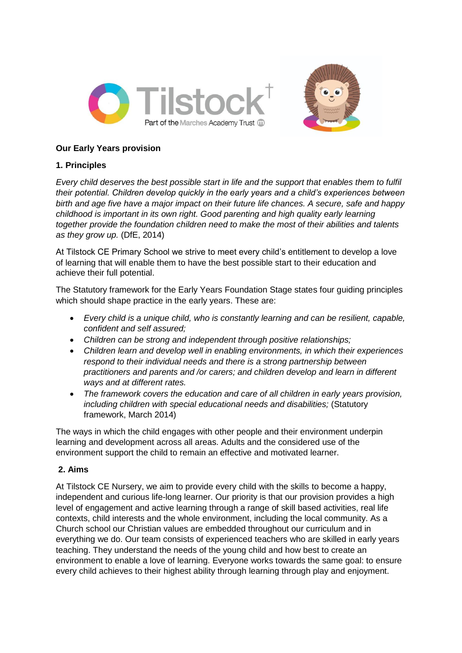



## **Our Early Years provision**

# **1. Principles**

*Every child deserves the best possible start in life and the support that enables them to fulfil their potential. Children develop quickly in the early years and a child's experiences between birth and age five have a major impact on their future life chances. A secure, safe and happy childhood is important in its own right. Good parenting and high quality early learning together provide the foundation children need to make the most of their abilities and talents as they grow up.* (DfE, 2014)

At Tilstock CE Primary School we strive to meet every child's entitlement to develop a love of learning that will enable them to have the best possible start to their education and achieve their full potential.

The Statutory framework for the Early Years Foundation Stage states four guiding principles which should shape practice in the early years. These are:

- *Every child is a unique child, who is constantly learning and can be resilient, capable, confident and self assured;*
- *Children can be strong and independent through positive relationships;*
- *Children learn and develop well in enabling environments, in which their experiences respond to their individual needs and there is a strong partnership between practitioners and parents and /or carers; and children develop and learn in different ways and at different rates.*
- *The framework covers the education and care of all children in early years provision, including children with special educational needs and disabilities;* (Statutory framework, March 2014)

The ways in which the child engages with other people and their environment underpin learning and development across all areas. Adults and the considered use of the environment support the child to remain an effective and motivated learner.

## **2. Aims**

At Tilstock CE Nursery, we aim to provide every child with the skills to become a happy, independent and curious life-long learner. Our priority is that our provision provides a high level of engagement and active learning through a range of skill based activities, real life contexts, child interests and the whole environment, including the local community. As a Church school our Christian values are embedded throughout our curriculum and in everything we do. Our team consists of experienced teachers who are skilled in early years teaching. They understand the needs of the young child and how best to create an environment to enable a love of learning. Everyone works towards the same goal: to ensure every child achieves to their highest ability through learning through play and enjoyment.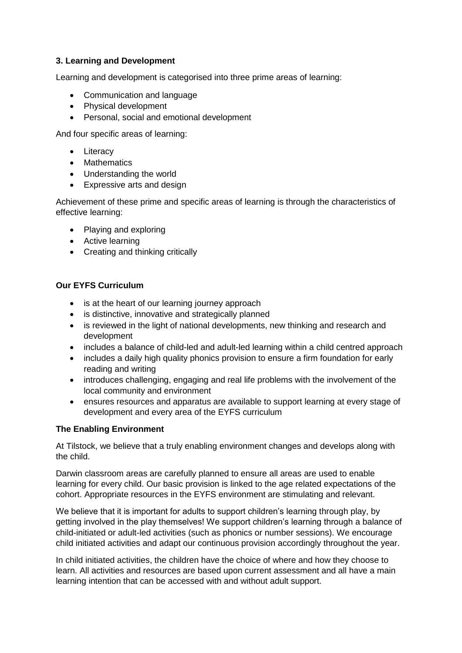### **3. Learning and Development**

Learning and development is categorised into three prime areas of learning:

- Communication and language
- Physical development
- Personal, social and emotional development

And four specific areas of learning:

- Literacy
- Mathematics
- Understanding the world
- Expressive arts and design

Achievement of these prime and specific areas of learning is through the characteristics of effective learning:

- Playing and exploring
- Active learning
- Creating and thinking critically

#### **Our EYFS Curriculum**

- is at the heart of our learning journey approach
- is distinctive, innovative and strategically planned
- is reviewed in the light of national developments, new thinking and research and development
- includes a balance of child-led and adult-led learning within a child centred approach
- includes a daily high quality phonics provision to ensure a firm foundation for early reading and writing
- introduces challenging, engaging and real life problems with the involvement of the local community and environment
- ensures resources and apparatus are available to support learning at every stage of development and every area of the EYFS curriculum

## **The Enabling Environment**

At Tilstock, we believe that a truly enabling environment changes and develops along with the child.

Darwin classroom areas are carefully planned to ensure all areas are used to enable learning for every child. Our basic provision is linked to the age related expectations of the cohort. Appropriate resources in the EYFS environment are stimulating and relevant.

We believe that it is important for adults to support children's learning through play, by getting involved in the play themselves! We support children's learning through a balance of child-initiated or adult-led activities (such as phonics or number sessions). We encourage child initiated activities and adapt our continuous provision accordingly throughout the year.

In child initiated activities, the children have the choice of where and how they choose to learn. All activities and resources are based upon current assessment and all have a main learning intention that can be accessed with and without adult support.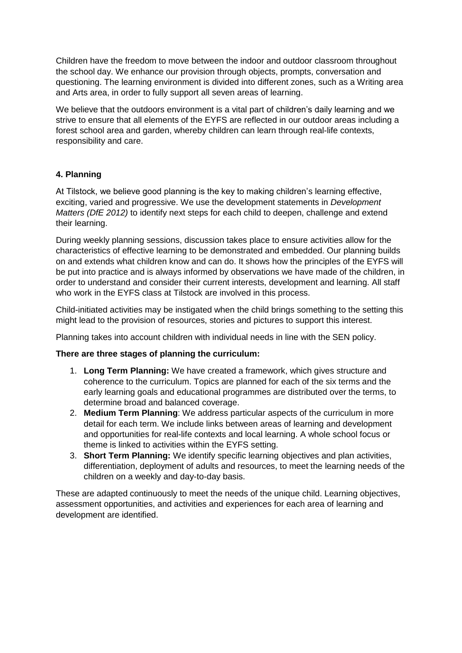Children have the freedom to move between the indoor and outdoor classroom throughout the school day. We enhance our provision through objects, prompts, conversation and questioning. The learning environment is divided into different zones, such as a Writing area and Arts area, in order to fully support all seven areas of learning.

We believe that the outdoors environment is a vital part of children's daily learning and we strive to ensure that all elements of the EYFS are reflected in our outdoor areas including a forest school area and garden, whereby children can learn through real-life contexts, responsibility and care.

## **4. Planning**

At Tilstock, we believe good planning is the key to making children's learning effective, exciting, varied and progressive. We use the development statements in *Development Matters (DfE 2012)* to identify next steps for each child to deepen, challenge and extend their learning.

During weekly planning sessions, discussion takes place to ensure activities allow for the characteristics of effective learning to be demonstrated and embedded. Our planning builds on and extends what children know and can do. It shows how the principles of the EYFS will be put into practice and is always informed by observations we have made of the children, in order to understand and consider their current interests, development and learning. All staff who work in the EYFS class at Tilstock are involved in this process.

Child-initiated activities may be instigated when the child brings something to the setting this might lead to the provision of resources, stories and pictures to support this interest.

Planning takes into account children with individual needs in line with the SEN policy.

#### **There are three stages of planning the curriculum:**

- 1. **Long Term Planning:** We have created a framework, which gives structure and coherence to the curriculum. Topics are planned for each of the six terms and the early learning goals and educational programmes are distributed over the terms, to determine broad and balanced coverage.
- 2. **Medium Term Planning**: We address particular aspects of the curriculum in more detail for each term. We include links between areas of learning and development and opportunities for real-life contexts and local learning. A whole school focus or theme is linked to activities within the EYFS setting.
- 3. **Short Term Planning:** We identify specific learning objectives and plan activities, differentiation, deployment of adults and resources, to meet the learning needs of the children on a weekly and day-to-day basis.

These are adapted continuously to meet the needs of the unique child. Learning objectives, assessment opportunities, and activities and experiences for each area of learning and development are identified.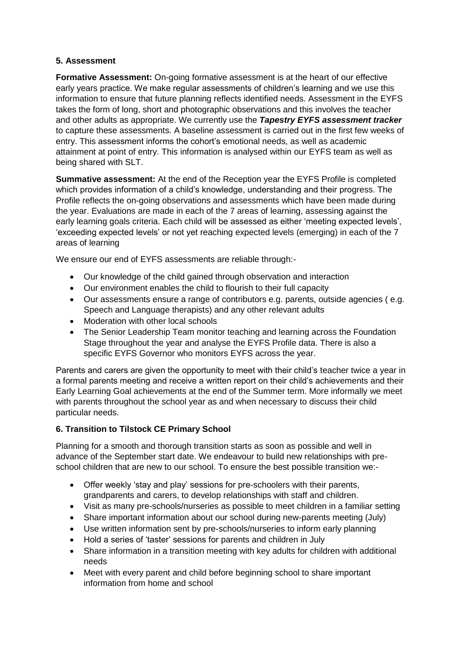# **5. Assessment**

**Formative Assessment:** On-going formative assessment is at the heart of our effective early years practice. We make regular assessments of children's learning and we use this information to ensure that future planning reflects identified needs. Assessment in the EYFS takes the form of long, short and photographic observations and this involves the teacher and other adults as appropriate. We currently use the *Tapestry EYFS assessment tracker* to capture these assessments. A baseline assessment is carried out in the first few weeks of entry. This assessment informs the cohort's emotional needs, as well as academic attainment at point of entry. This information is analysed within our EYFS team as well as being shared with SLT.

**Summative assessment:** At the end of the Reception year the EYFS Profile is completed which provides information of a child's knowledge, understanding and their progress. The Profile reflects the on-going observations and assessments which have been made during the year. Evaluations are made in each of the 7 areas of learning, assessing against the early learning goals criteria. Each child will be assessed as either 'meeting expected levels', 'exceeding expected levels' or not yet reaching expected levels (emerging) in each of the 7 areas of learning

We ensure our end of EYFS assessments are reliable through:-

- Our knowledge of the child gained through observation and interaction
- Our environment enables the child to flourish to their full capacity
- Our assessments ensure a range of contributors e.g. parents, outside agencies ( e.g. Speech and Language therapists) and any other relevant adults
- Moderation with other local schools
- The Senior Leadership Team monitor teaching and learning across the Foundation Stage throughout the year and analyse the EYFS Profile data. There is also a specific EYFS Governor who monitors EYFS across the year.

Parents and carers are given the opportunity to meet with their child's teacher twice a year in a formal parents meeting and receive a written report on their child's achievements and their Early Learning Goal achievements at the end of the Summer term. More informally we meet with parents throughout the school year as and when necessary to discuss their child particular needs.

## **6. Transition to Tilstock CE Primary School**

Planning for a smooth and thorough transition starts as soon as possible and well in advance of the September start date. We endeavour to build new relationships with preschool children that are new to our school. To ensure the best possible transition we:-

- Offer weekly 'stay and play' sessions for pre-schoolers with their parents, grandparents and carers, to develop relationships with staff and children.
- Visit as many pre-schools/nurseries as possible to meet children in a familiar setting
- Share important information about our school during new-parents meeting (July)
- Use written information sent by pre-schools/nurseries to inform early planning
- Hold a series of 'taster' sessions for parents and children in July
- Share information in a transition meeting with key adults for children with additional needs
- Meet with every parent and child before beginning school to share important information from home and school